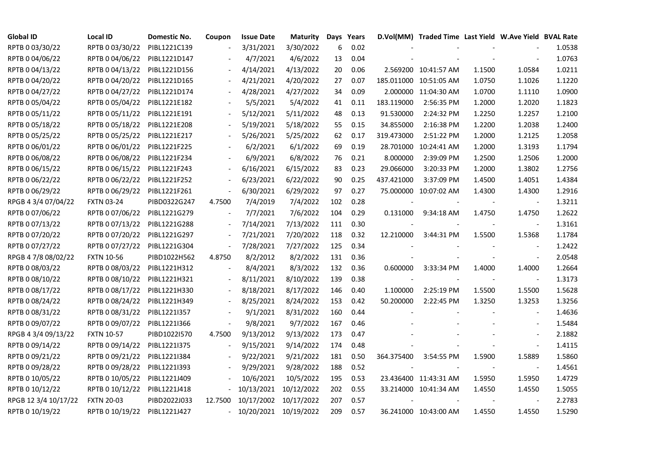| <b>Global ID</b>     | Local ID          | Domestic No. | Coupon                   | <b>Issue Date</b>          | <b>Maturity</b> |     | Days Years |            | D.Vol(MM) Traded Time Last Yield W.Ave Yield BVAL Rate |        |                          |        |
|----------------------|-------------------|--------------|--------------------------|----------------------------|-----------------|-----|------------|------------|--------------------------------------------------------|--------|--------------------------|--------|
| RPTB 0 03/30/22      | RPTB 0 03/30/22   | PIBL1221C139 |                          | 3/31/2021                  | 3/30/2022       | 6   | 0.02       |            |                                                        |        |                          | 1.0538 |
| RPTB 0 04/06/22      | RPTB 0 04/06/22   | PIBL1221D147 |                          | 4/7/2021                   | 4/6/2022        | 13  | 0.04       |            |                                                        |        |                          | 1.0763 |
| RPTB 0 04/13/22      | RPTB 0 04/13/22   | PIBL1221D156 |                          | 4/14/2021                  | 4/13/2022       | 20  | 0.06       |            | 2.569200 10:41:57 AM                                   | 1.1500 | 1.0584                   | 1.0211 |
| RPTB 0 04/20/22      | RPTB 0 04/20/22   | PIBL1221D165 | $\blacksquare$           | 4/21/2021                  | 4/20/2022       | 27  | 0.07       |            | 185.011000 10:51:05 AM                                 | 1.0750 | 1.1026                   | 1.1220 |
| RPTB 0 04/27/22      | RPTB 0 04/27/22   | PIBL1221D174 |                          | 4/28/2021                  | 4/27/2022       | 34  | 0.09       |            | 2.000000 11:04:30 AM                                   | 1.0700 | 1.1110                   | 1.0900 |
| RPTB 0 05/04/22      | RPTB 0 05/04/22   | PIBL1221E182 |                          | 5/5/2021                   | 5/4/2022        | 41  | 0.11       | 183.119000 | 2:56:35 PM                                             | 1.2000 | 1.2020                   | 1.1823 |
| RPTB 0 05/11/22      | RPTB 0 05/11/22   | PIBL1221E191 |                          | 5/12/2021                  | 5/11/2022       | 48  | 0.13       | 91.530000  | 2:24:32 PM                                             | 1.2250 | 1.2257                   | 1.2100 |
| RPTB 0 05/18/22      | RPTB 0 05/18/22   | PIBL1221E208 |                          | 5/19/2021                  | 5/18/2022       | 55  | 0.15       | 34.855000  | 2:16:38 PM                                             | 1.2200 | 1.2038                   | 1.2400 |
| RPTB 0 05/25/22      | RPTB 0 05/25/22   | PIBL1221E217 |                          | 5/26/2021                  | 5/25/2022       | 62  | 0.17       | 319.473000 | 2:51:22 PM                                             | 1.2000 | 1.2125                   | 1.2058 |
| RPTB 0 06/01/22      | RPTB 0 06/01/22   | PIBL1221F225 |                          | 6/2/2021                   | 6/1/2022        | 69  | 0.19       |            | 28.701000 10:24:41 AM                                  | 1.2000 | 1.3193                   | 1.1794 |
| RPTB 0 06/08/22      | RPTB 0 06/08/22   | PIBL1221F234 | $\overline{\phantom{a}}$ | 6/9/2021                   | 6/8/2022        | 76  | 0.21       | 8.000000   | 2:39:09 PM                                             | 1.2500 | 1.2506                   | 1.2000 |
| RPTB 0 06/15/22      | RPTB 0 06/15/22   | PIBL1221F243 | $\overline{\phantom{a}}$ | 6/16/2021                  | 6/15/2022       | 83  | 0.23       | 29.066000  | 3:20:33 PM                                             | 1.2000 | 1.3802                   | 1.2756 |
| RPTB 0 06/22/22      | RPTB 0 06/22/22   | PIBL1221F252 | $\blacksquare$           | 6/23/2021                  | 6/22/2022       | 90  | 0.25       | 437.421000 | 3:37:09 PM                                             | 1.4500 | 1.4051                   | 1.4384 |
| RPTB 0 06/29/22      | RPTB 0 06/29/22   | PIBL1221F261 | $\blacksquare$           | 6/30/2021                  | 6/29/2022       | 97  | 0.27       |            | 75.000000 10:07:02 AM                                  | 1.4300 | 1.4300                   | 1.2916 |
| RPGB 4 3/4 07/04/22  | <b>FXTN 03-24</b> | PIBD0322G247 | 4.7500                   | 7/4/2019                   | 7/4/2022        | 102 | 0.28       |            |                                                        |        | $\overline{\phantom{a}}$ | 1.3211 |
| RPTB 0 07/06/22      | RPTB 0 07/06/22   | PIBL1221G279 |                          | 7/7/2021                   | 7/6/2022        | 104 | 0.29       | 0.131000   | 9:34:18 AM                                             | 1.4750 | 1.4750                   | 1.2622 |
| RPTB 0 07/13/22      | RPTB 0 07/13/22   | PIBL1221G288 | $\overline{\phantom{a}}$ | 7/14/2021                  | 7/13/2022       | 111 | 0.30       |            |                                                        |        |                          | 1.3161 |
| RPTB 0 07/20/22      | RPTB 0 07/20/22   | PIBL1221G297 | $\blacksquare$           | 7/21/2021                  | 7/20/2022       | 118 | 0.32       | 12.210000  | 3:44:31 PM                                             | 1.5500 | 1.5368                   | 1.1784 |
| RPTB 0 07/27/22      | RPTB 0 07/27/22   | PIBL1221G304 | $\blacksquare$           | 7/28/2021                  | 7/27/2022       | 125 | 0.34       |            |                                                        |        | $\overline{\phantom{a}}$ | 1.2422 |
| RPGB 4 7/8 08/02/22  | <b>FXTN 10-56</b> | PIBD1022H562 | 4.8750                   | 8/2/2012                   | 8/2/2022        | 131 | 0.36       |            |                                                        |        | $\blacksquare$           | 2.0548 |
| RPTB 0 08/03/22      | RPTB 0 08/03/22   | PIBL1221H312 | $\overline{\phantom{a}}$ | 8/4/2021                   | 8/3/2022        | 132 | 0.36       | 0.600000   | 3:33:34 PM                                             | 1.4000 | 1.4000                   | 1.2664 |
| RPTB 0 08/10/22      | RPTB 0 08/10/22   | PIBL1221H321 | $\overline{\phantom{a}}$ | 8/11/2021                  | 8/10/2022       | 139 | 0.38       | $\sim$     |                                                        |        | $\blacksquare$           | 1.3173 |
| RPTB 0 08/17/22      | RPTB 0 08/17/22   | PIBL1221H330 |                          | 8/18/2021                  | 8/17/2022       | 146 | 0.40       | 1.100000   | 2:25:19 PM                                             | 1.5500 | 1.5500                   | 1.5628 |
| RPTB 0 08/24/22      | RPTB 0 08/24/22   | PIBL1221H349 | $\overline{\phantom{a}}$ | 8/25/2021                  | 8/24/2022       | 153 | 0.42       | 50.200000  | 2:22:45 PM                                             | 1.3250 | 1.3253                   | 1.3256 |
| RPTB 0 08/31/22      | RPTB 0 08/31/22   | PIBL1221I357 | $\overline{\phantom{a}}$ | 9/1/2021                   | 8/31/2022       | 160 | 0.44       |            |                                                        |        | $\overline{\phantom{a}}$ | 1.4636 |
| RPTB 0 09/07/22      | RPTB 0 09/07/22   | PIBL1221I366 | $\overline{\phantom{a}}$ | 9/8/2021                   | 9/7/2022        | 167 | 0.46       |            |                                                        |        |                          | 1.5484 |
| RPGB 4 3/4 09/13/22  | <b>FXTN 10-57</b> | PIBD1022I570 | 4.7500                   | 9/13/2012                  | 9/13/2022       | 173 | 0.47       |            |                                                        |        | $\blacksquare$           | 2.1882 |
| RPTB 0 09/14/22      | RPTB 0 09/14/22   | PIBL1221I375 | $\blacksquare$           | 9/15/2021                  | 9/14/2022       | 174 | 0.48       |            |                                                        |        | $\blacksquare$           | 1.4115 |
| RPTB 0 09/21/22      | RPTB 0 09/21/22   | PIBL1221I384 |                          | 9/22/2021                  | 9/21/2022       | 181 | 0.50       | 364.375400 | 3:54:55 PM                                             | 1.5900 | 1.5889                   | 1.5860 |
| RPTB 0 09/28/22      | RPTB 0 09/28/22   | PIBL1221I393 |                          | 9/29/2021                  | 9/28/2022       | 188 | 0.52       |            |                                                        |        |                          | 1.4561 |
| RPTB 0 10/05/22      | RPTB 0 10/05/22   | PIBL1221J409 |                          | 10/6/2021                  | 10/5/2022       | 195 | 0.53       |            | 23.436400 11:43:31 AM                                  | 1.5950 | 1.5950                   | 1.4729 |
| RPTB 0 10/12/22      | RPTB 0 10/12/22   | PIBL1221J418 | $\overline{\phantom{a}}$ | 10/13/2021                 | 10/12/2022      | 202 | 0.55       |            | 33.214000 10:41:34 AM                                  | 1.4550 | 1.4550                   | 1.5055 |
| RPGB 12 3/4 10/17/22 | <b>FXTN 20-03</b> | PIBD2022J033 | 12.7500                  | 10/17/2002                 | 10/17/2022      | 207 | 0.57       |            |                                                        |        | $\overline{\phantom{a}}$ | 2.2783 |
| RPTB 0 10/19/22      | RPTB 0 10/19/22   | PIBL1221J427 |                          | $-10/20/2021$ $10/19/2022$ |                 | 209 | 0.57       |            | 36.241000 10:43:00 AM                                  | 1.4550 | 1.4550                   | 1.5290 |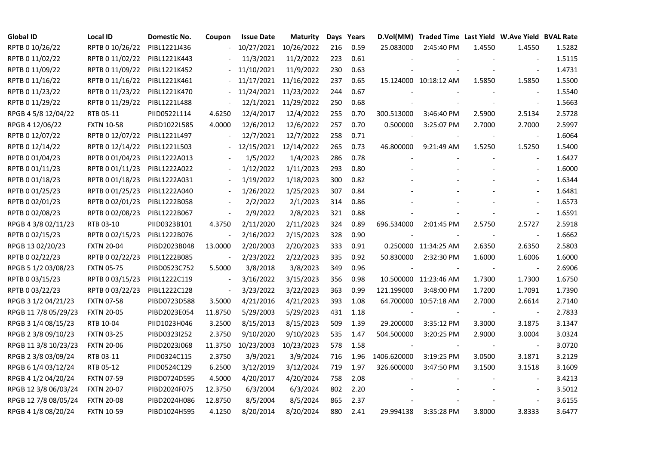| <b>Global ID</b>     | <b>Local ID</b>   | Domestic No. | Coupon                   | <b>Issue Date</b> | Maturity             |     | Days Years |             | D.Vol(MM) Traded Time Last Yield W.Ave Yield BVAL Rate |        |                          |        |
|----------------------|-------------------|--------------|--------------------------|-------------------|----------------------|-----|------------|-------------|--------------------------------------------------------|--------|--------------------------|--------|
| RPTB 0 10/26/22      | RPTB 0 10/26/22   | PIBL1221J436 |                          | 10/27/2021        | 10/26/2022           | 216 | 0.59       | 25.083000   | 2:45:40 PM                                             | 1.4550 | 1.4550                   | 1.5282 |
| RPTB 0 11/02/22      | RPTB 0 11/02/22   | PIBL1221K443 |                          | 11/3/2021         | 11/2/2022            | 223 | 0.61       |             |                                                        |        |                          | 1.5115 |
| RPTB 0 11/09/22      | RPTB 0 11/09/22   | PIBL1221K452 |                          | 11/10/2021        | 11/9/2022            | 230 | 0.63       |             |                                                        |        |                          | 1.4731 |
| RPTB 0 11/16/22      | RPTB 0 11/16/22   | PIBL1221K461 |                          | 11/17/2021        | 11/16/2022           | 237 | 0.65       |             | 15.124000 10:18:12 AM                                  | 1.5850 | 1.5850                   | 1.5500 |
| RPTB 0 11/23/22      | RPTB 0 11/23/22   | PIBL1221K470 | $\frac{1}{2}$            | 11/24/2021        | 11/23/2022           | 244 | 0.67       |             |                                                        |        | $\overline{\phantom{a}}$ | 1.5540 |
| RPTB 0 11/29/22      | RPTB 0 11/29/22   | PIBL1221L488 |                          |                   | 12/1/2021 11/29/2022 | 250 | 0.68       |             |                                                        |        |                          | 1.5663 |
| RPGB 4 5/8 12/04/22  | RTB 05-11         | PIID0522L114 | 4.6250                   | 12/4/2017         | 12/4/2022            | 255 | 0.70       | 300.513000  | 3:46:40 PM                                             | 2.5900 | 2.5134                   | 2.5728 |
| RPGB 4 12/06/22      | <b>FXTN 10-58</b> | PIBD1022L585 | 4.0000                   | 12/6/2012         | 12/6/2022            | 257 | 0.70       | 0.500000    | 3:25:07 PM                                             | 2.7000 | 2.7000                   | 2.5997 |
| RPTB 0 12/07/22      | RPTB 0 12/07/22   | PIBL1221L497 |                          | 12/7/2021         | 12/7/2022            | 258 | 0.71       |             |                                                        |        |                          | 1.6064 |
| RPTB 0 12/14/22      | RPTB 0 12/14/22   | PIBL1221L503 |                          | 12/15/2021        | 12/14/2022           | 265 | 0.73       | 46.800000   | 9:21:49 AM                                             | 1.5250 | 1.5250                   | 1.5400 |
| RPTB 0 01/04/23      | RPTB 0 01/04/23   | PIBL1222A013 |                          | 1/5/2022          | 1/4/2023             | 286 | 0.78       |             |                                                        |        | $\blacksquare$           | 1.6427 |
| RPTB 0 01/11/23      | RPTB 0 01/11/23   | PIBL1222A022 |                          | 1/12/2022         | 1/11/2023            | 293 | 0.80       |             |                                                        |        |                          | 1.6000 |
| RPTB 0 01/18/23      | RPTB 0 01/18/23   | PIBL1222A031 |                          | 1/19/2022         | 1/18/2023            | 300 | 0.82       |             |                                                        |        | $\blacksquare$           | 1.6344 |
| RPTB 0 01/25/23      | RPTB 0 01/25/23   | PIBL1222A040 |                          | 1/26/2022         | 1/25/2023            | 307 | 0.84       |             |                                                        |        | $\overline{\phantom{a}}$ | 1.6481 |
| RPTB 0 02/01/23      | RPTB 0 02/01/23   | PIBL1222B058 |                          | 2/2/2022          | 2/1/2023             | 314 | 0.86       |             |                                                        |        | $\overline{\phantom{a}}$ | 1.6573 |
| RPTB 0 02/08/23      | RPTB 0 02/08/23   | PIBL1222B067 |                          | 2/9/2022          | 2/8/2023             | 321 | 0.88       |             |                                                        |        |                          | 1.6591 |
| RPGB 4 3/8 02/11/23  | RTB 03-10         | PIID0323B101 | 4.3750                   | 2/11/2020         | 2/11/2023            | 324 | 0.89       | 696.534000  | 2:01:45 PM                                             | 2.5750 | 2.5727                   | 2.5918 |
| RPTB 0 02/15/23      | RPTB 0 02/15/23   | PIBL1222B076 | $\overline{\phantom{a}}$ | 2/16/2022         | 2/15/2023            | 328 | 0.90       |             |                                                        |        | $\overline{\phantom{a}}$ | 1.6662 |
| RPGB 13 02/20/23     | <b>FXTN 20-04</b> | PIBD2023B048 | 13.0000                  | 2/20/2003         | 2/20/2023            | 333 | 0.91       |             | 0.250000 11:34:25 AM                                   | 2.6350 | 2.6350                   | 2.5803 |
| RPTB 0 02/22/23      | RPTB 0 02/22/23   | PIBL1222B085 | $\blacksquare$           | 2/23/2022         | 2/22/2023            | 335 | 0.92       | 50.830000   | 2:32:30 PM                                             | 1.6000 | 1.6006                   | 1.6000 |
| RPGB 5 1/2 03/08/23  | <b>FXTN 05-75</b> | PIBD0523C752 | 5.5000                   | 3/8/2018          | 3/8/2023             | 349 | 0.96       | $\sim$      |                                                        |        | $\overline{\phantom{a}}$ | 2.6906 |
| RPTB 0 03/15/23      | RPTB 0 03/15/23   | PIBL1222C119 | $\blacksquare$           | 3/16/2022         | 3/15/2023            | 356 | 0.98       |             | 10.500000 11:23:46 AM                                  | 1.7300 | 1.7300                   | 1.6750 |
| RPTB 0 03/22/23      | RPTB 0 03/22/23   | PIBL1222C128 |                          | 3/23/2022         | 3/22/2023            | 363 | 0.99       | 121.199000  | 3:48:00 PM                                             | 1.7200 | 1.7091                   | 1.7390 |
| RPGB 3 1/2 04/21/23  | <b>FXTN 07-58</b> | PIBD0723D588 | 3.5000                   | 4/21/2016         | 4/21/2023            | 393 | 1.08       |             | 64.700000 10:57:18 AM                                  | 2.7000 | 2.6614                   | 2.7140 |
| RPGB 11 7/8 05/29/23 | <b>FXTN 20-05</b> | PIBD2023E054 | 11.8750                  | 5/29/2003         | 5/29/2023            | 431 | 1.18       |             |                                                        |        |                          | 2.7833 |
| RPGB 3 1/4 08/15/23  | RTB 10-04         | PIID1023H046 | 3.2500                   | 8/15/2013         | 8/15/2023            | 509 | 1.39       | 29.200000   | 3:35:12 PM                                             | 3.3000 | 3.1875                   | 3.1347 |
| RPGB 2 3/8 09/10/23  | <b>FXTN 03-25</b> | PIBD0323I252 | 2.3750                   | 9/10/2020         | 9/10/2023            | 535 | 1.47       | 504.500000  | 3:20:25 PM                                             | 2.9000 | 3.0004                   | 3.0324 |
| RPGB 11 3/8 10/23/23 | <b>FXTN 20-06</b> | PIBD2023J068 | 11.3750                  | 10/23/2003        | 10/23/2023           | 578 | 1.58       | $\sim$      |                                                        |        | $\blacksquare$           | 3.0720 |
| RPGB 2 3/8 03/09/24  | RTB 03-11         | PIID0324C115 | 2.3750                   | 3/9/2021          | 3/9/2024             | 716 | 1.96       | 1406.620000 | 3:19:25 PM                                             | 3.0500 | 3.1871                   | 3.2129 |
| RPGB 6 1/4 03/12/24  | RTB 05-12         | PIID0524C129 | 6.2500                   | 3/12/2019         | 3/12/2024            | 719 | 1.97       | 326.600000  | 3:47:50 PM                                             | 3.1500 | 3.1518                   | 3.1609 |
| RPGB 4 1/2 04/20/24  | <b>FXTN 07-59</b> | PIBD0724D595 | 4.5000                   | 4/20/2017         | 4/20/2024            | 758 | 2.08       |             |                                                        |        |                          | 3.4213 |
| RPGB 12 3/8 06/03/24 | <b>FXTN 20-07</b> | PIBD2024F075 | 12.3750                  | 6/3/2004          | 6/3/2024             | 802 | 2.20       |             |                                                        |        |                          | 3.5012 |
| RPGB 12 7/8 08/05/24 | <b>FXTN 20-08</b> | PIBD2024H086 | 12.8750                  | 8/5/2004          | 8/5/2024             | 865 | 2.37       |             |                                                        |        |                          | 3.6155 |
| RPGB 4 1/8 08/20/24  | <b>FXTN 10-59</b> | PIBD1024H595 | 4.1250                   | 8/20/2014         | 8/20/2024            | 880 | 2.41       | 29.994138   | 3:35:28 PM                                             | 3.8000 | 3.8333                   | 3.6477 |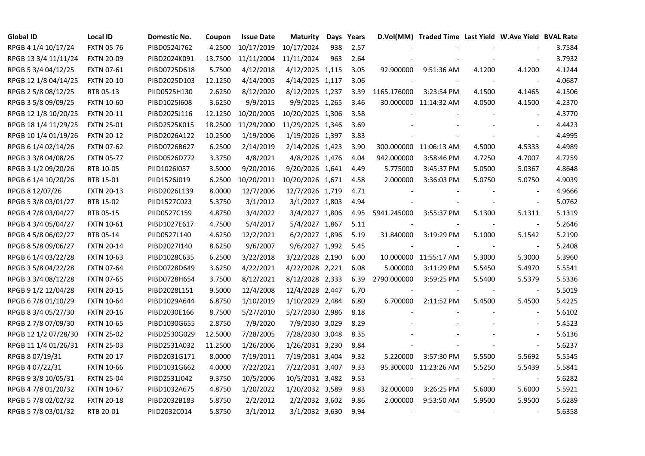| <b>Global ID</b>     | <b>Local ID</b>   | Domestic No. | Coupon  | <b>Issue Date</b> | <b>Maturity</b>  |     | Days Years |             | D.Vol(MM) Traded Time Last Yield W.Ave Yield BVAL Rate |        |                          |        |
|----------------------|-------------------|--------------|---------|-------------------|------------------|-----|------------|-------------|--------------------------------------------------------|--------|--------------------------|--------|
| RPGB 4 1/4 10/17/24  | <b>FXTN 05-76</b> | PIBD0524J762 | 4.2500  | 10/17/2019        | 10/17/2024       | 938 | 2.57       |             |                                                        |        |                          | 3.7584 |
| RPGB 13 3/4 11/11/24 | <b>FXTN 20-09</b> | PIBD2024K091 | 13.7500 | 11/11/2004        | 11/11/2024       | 963 | 2.64       |             |                                                        |        |                          | 3.7932 |
| RPGB 5 3/4 04/12/25  | <b>FXTN 07-61</b> | PIBD0725D618 | 5.7500  | 4/12/2018         | 4/12/2025 1,115  |     | 3.05       | 92.900000   | 9:51:36 AM                                             | 4.1200 | 4.1200                   | 4.1244 |
| RPGB 12 1/8 04/14/25 | <b>FXTN 20-10</b> | PIBD2025D103 | 12.1250 | 4/14/2005         | 4/14/2025 1,117  |     | 3.06       |             |                                                        |        | $\overline{a}$           | 4.0687 |
| RPGB 2 5/8 08/12/25  | RTB 05-13         | PIID0525H130 | 2.6250  | 8/12/2020         | 8/12/2025 1,237  |     | 3.39       | 1165.176000 | 3:23:54 PM                                             | 4.1500 | 4.1465                   | 4.1506 |
| RPGB 3 5/8 09/09/25  | <b>FXTN 10-60</b> | PIBD10251608 | 3.6250  | 9/9/2015          | 9/9/2025 1,265   |     | 3.46       |             | 30.000000 11:14:32 AM                                  | 4.0500 | 4.1500                   | 4.2370 |
| RPGB 12 1/8 10/20/25 | <b>FXTN 20-11</b> | PIBD2025J116 | 12.1250 | 10/20/2005        | 10/20/2025 1,306 |     | 3.58       |             |                                                        |        | $\overline{\phantom{a}}$ | 4.3770 |
| RPGB 18 1/4 11/29/25 | <b>FXTN 25-01</b> | PIBD2525K015 | 18.2500 | 11/29/2000        | 11/29/2025 1,346 |     | 3.69       |             |                                                        |        | $\sim$                   | 4.4423 |
| RPGB 10 1/4 01/19/26 | <b>FXTN 20-12</b> | PIBD2026A122 | 10.2500 | 1/19/2006         | 1/19/2026 1,397  |     | 3.83       |             |                                                        |        |                          | 4.4995 |
| RPGB 6 1/4 02/14/26  | <b>FXTN 07-62</b> | PIBD0726B627 | 6.2500  | 2/14/2019         | 2/14/2026 1,423  |     | 3.90       |             | 300.000000 11:06:13 AM                                 | 4.5000 | 4.5333                   | 4.4989 |
| RPGB 3 3/8 04/08/26  | <b>FXTN 05-77</b> | PIBD0526D772 | 3.3750  | 4/8/2021          | 4/8/2026 1,476   |     | 4.04       | 942.000000  | 3:58:46 PM                                             | 4.7250 | 4.7007                   | 4.7259 |
| RPGB 3 1/2 09/20/26  | RTB 10-05         | PIID1026I057 | 3.5000  | 9/20/2016         | 9/20/2026 1,641  |     | 4.49       | 5.775000    | 3:45:37 PM                                             | 5.0500 | 5.0367                   | 4.8648 |
| RPGB 6 1/4 10/20/26  | RTB 15-01         | PIID1526J019 | 6.2500  | 10/20/2011        | 10/20/2026 1,671 |     | 4.58       | 2.000000    | 3:36:03 PM                                             | 5.0750 | 5.0750                   | 4.9039 |
| RPGB 8 12/07/26      | <b>FXTN 20-13</b> | PIBD2026L139 | 8.0000  | 12/7/2006         | 12/7/2026 1,719  |     | 4.71       |             |                                                        |        | $\blacksquare$           | 4.9666 |
| RPGB 5 3/8 03/01/27  | RTB 15-02         | PIID1527C023 | 5.3750  | 3/1/2012          | 3/1/2027 1,803   |     | 4.94       |             |                                                        |        | $\blacksquare$           | 5.0762 |
| RPGB 4 7/8 03/04/27  | RTB 05-15         | PIID0527C159 | 4.8750  | 3/4/2022          | 3/4/2027 1,806   |     | 4.95       | 5941.245000 | 3:55:37 PM                                             | 5.1300 | 5.1311                   | 5.1319 |
| RPGB 4 3/4 05/04/27  | <b>FXTN 10-61</b> | PIBD1027E617 | 4.7500  | 5/4/2017          | 5/4/2027 1,867   |     | 5.11       |             |                                                        |        | $\overline{\phantom{a}}$ | 5.2646 |
| RPGB 4 5/8 06/02/27  | RTB 05-14         | PIID0527L140 | 4.6250  | 12/2/2021         | 6/2/2027 1,896   |     | 5.19       | 31.840000   | 3:19:29 PM                                             | 5.1000 | 5.1542                   | 5.2190 |
| RPGB 8 5/8 09/06/27  | <b>FXTN 20-14</b> | PIBD2027I140 | 8.6250  | 9/6/2007          | 9/6/2027 1,992   |     | 5.45       |             |                                                        |        | $\blacksquare$           | 5.2408 |
| RPGB 6 1/4 03/22/28  | <b>FXTN 10-63</b> | PIBD1028C635 | 6.2500  | 3/22/2018         | 3/22/2028 2,190  |     | 6.00       |             | 10.000000 11:55:17 AM                                  | 5.3000 | 5.3000                   | 5.3960 |
| RPGB 3 5/8 04/22/28  | <b>FXTN 07-64</b> | PIBD0728D649 | 3.6250  | 4/22/2021         | 4/22/2028 2,221  |     | 6.08       | 5.000000    | 3:11:29 PM                                             | 5.5450 | 5.4970                   | 5.5541 |
| RPGB 3 3/4 08/12/28  | <b>FXTN 07-65</b> | PIBD0728H654 | 3.7500  | 8/12/2021         | 8/12/2028 2,333  |     | 6.39       | 2790.000000 | 3:59:25 PM                                             | 5.5400 | 5.5379                   | 5.5336 |
| RPGB 9 1/2 12/04/28  | <b>FXTN 20-15</b> | PIBD2028L151 | 9.5000  | 12/4/2008         | 12/4/2028 2,447  |     | 6.70       |             |                                                        |        |                          | 5.5019 |
| RPGB 67/8 01/10/29   | <b>FXTN 10-64</b> | PIBD1029A644 | 6.8750  | 1/10/2019         | 1/10/2029 2,484  |     | 6.80       | 6.700000    | 2:11:52 PM                                             | 5.4500 | 5.4500                   | 5.4225 |
| RPGB 8 3/4 05/27/30  | <b>FXTN 20-16</b> | PIBD2030E166 | 8.7500  | 5/27/2010         | 5/27/2030 2,986  |     | 8.18       |             |                                                        |        | $\blacksquare$           | 5.6102 |
| RPGB 2 7/8 07/09/30  | <b>FXTN 10-65</b> | PIBD1030G655 | 2.8750  | 7/9/2020          | 7/9/2030 3,029   |     | 8.29       |             |                                                        |        | $\blacksquare$           | 5.4523 |
| RPGB 12 1/2 07/28/30 | <b>FXTN 25-02</b> | PIBD2530G029 | 12.5000 | 7/28/2005         | 7/28/2030 3,048  |     | 8.35       |             |                                                        |        | $\blacksquare$           | 5.6136 |
| RPGB 11 1/4 01/26/31 | <b>FXTN 25-03</b> | PIBD2531A032 | 11.2500 | 1/26/2006         | 1/26/2031 3,230  |     | 8.84       |             |                                                        |        | $\blacksquare$           | 5.6237 |
| RPGB 8 07/19/31      | <b>FXTN 20-17</b> | PIBD2031G171 | 8.0000  | 7/19/2011         | 7/19/2031 3,404  |     | 9.32       | 5.220000    | 3:57:30 PM                                             | 5.5500 | 5.5692                   | 5.5545 |
| RPGB 4 07/22/31      | <b>FXTN 10-66</b> | PIBD1031G662 | 4.0000  | 7/22/2021         | 7/22/2031 3,407  |     | 9.33       |             | 95.300000 11:23:26 AM                                  | 5.5250 | 5.5439                   | 5.5841 |
| RPGB 9 3/8 10/05/31  | <b>FXTN 25-04</b> | PIBD2531J042 | 9.3750  | 10/5/2006         | 10/5/2031 3,482  |     | 9.53       |             |                                                        |        |                          | 5.6282 |
| RPGB 4 7/8 01/20/32  | <b>FXTN 10-67</b> | PIBD1032A675 | 4.8750  | 1/20/2022         | 1/20/2032 3,589  |     | 9.83       | 32.000000   | 3:26:25 PM                                             | 5.6000 | 5.6000                   | 5.5921 |
| RPGB 5 7/8 02/02/32  | <b>FXTN 20-18</b> | PIBD2032B183 | 5.8750  | 2/2/2012          | 2/2/2032 3,602   |     | 9.86       | 2.000000    | 9:53:50 AM                                             | 5.9500 | 5.9500                   | 5.6289 |
| RPGB 5 7/8 03/01/32  | RTB 20-01         | PIID2032C014 | 5.8750  | 3/1/2012          | 3/1/2032 3,630   |     | 9.94       |             |                                                        |        | $\overline{\phantom{a}}$ | 5.6358 |